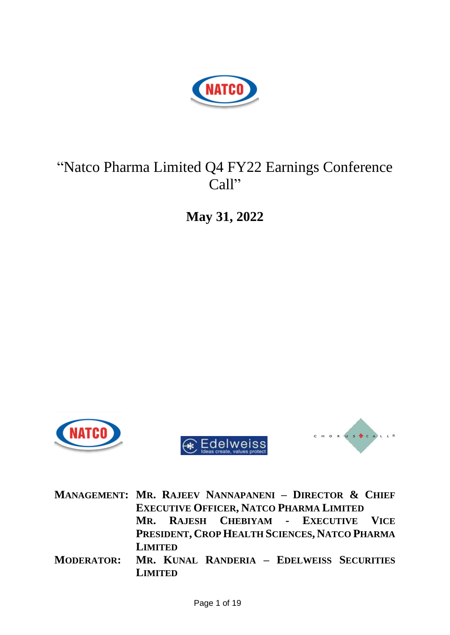

# "Natco Pharma Limited Q4 FY22 Earnings Conference Call"

**May 31, 2022**



**MANAGEMENT: MR. RAJEEV NANNAPANENI – DIRECTOR & CHIEF EXECUTIVE OFFICER, NATCO PHARMA LIMITED MR. RAJESH CHEBIYAM - EXECUTIVE VICE PRESIDENT, CROP HEALTH SCIENCES, NATCO PHARMA LIMITED MODERATOR: MR. KUNAL RANDERIA – EDELWEISS SECURITIES LIMITED**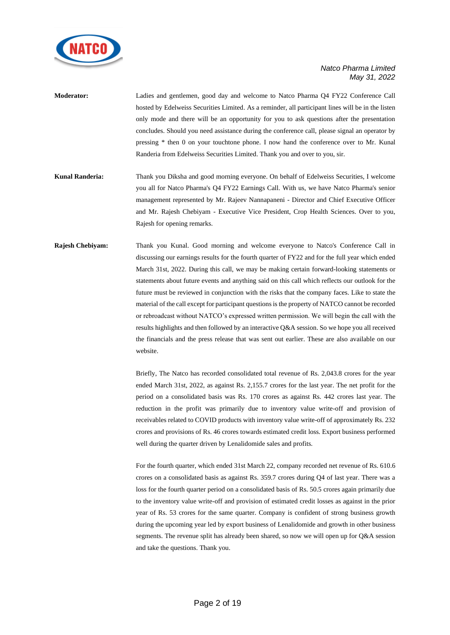

| <b>Moderator:</b> | Ladies and gentlemen, good day and welcome to Natco Pharma Q4 FY22 Conference Call                 |
|-------------------|----------------------------------------------------------------------------------------------------|
|                   | hosted by Edelweiss Securities Limited. As a reminder, all participant lines will be in the listen |
|                   | only mode and there will be an opportunity for you to ask questions after the presentation         |
|                   | concludes. Should you need assistance during the conference call, please signal an operator by     |
|                   | pressing * then 0 on your touchtone phone. I now hand the conference over to Mr. Kunal             |
|                   | Randeria from Edelweiss Securities Limited. Thank you and over to you, sir.                        |
|                   |                                                                                                    |
| Kunal Randeria:   | Thank you Diksha and good morning everyone. On behalf of Edelweiss Securities, I welcome           |

- you all for Natco Pharma's Q4 FY22 Earnings Call. With us, we have Natco Pharma's senior management represented by Mr. Rajeev Nannapaneni - Director and Chief Executive Officer and Mr. Rajesh Chebiyam - Executive Vice President, Crop Health Sciences. Over to you, Rajesh for opening remarks.
- **Rajesh Chebiyam:** Thank you Kunal. Good morning and welcome everyone to Natco's Conference Call in discussing our earnings results for the fourth quarter of FY22 and for the full year which ended March 31st, 2022. During this call, we may be making certain forward-looking statements or statements about future events and anything said on this call which reflects our outlook for the future must be reviewed in conjunction with the risks that the company faces. Like to state the material of the call except for participant questions is the property of NATCO cannot be recorded or rebroadcast without NATCO's expressed written permission. We will begin the call with the results highlights and then followed by an interactive Q&A session. So we hope you all received the financials and the press release that was sent out earlier. These are also available on our website.

Briefly, The Natco has recorded consolidated total revenue of Rs. 2,043.8 crores for the year ended March 31st, 2022, as against Rs. 2,155.7 crores for the last year. The net profit for the period on a consolidated basis was Rs. 170 crores as against Rs. 442 crores last year. The reduction in the profit was primarily due to inventory value write-off and provision of receivables related to COVID products with inventory value write-off of approximately Rs. 232 crores and provisions of Rs. 46 crores towards estimated credit loss. Export business performed well during the quarter driven by Lenalidomide sales and profits.

For the fourth quarter, which ended 31st March 22, company recorded net revenue of Rs. 610.6 crores on a consolidated basis as against Rs. 359.7 crores during Q4 of last year. There was a loss for the fourth quarter period on a consolidated basis of Rs. 50.5 crores again primarily due to the inventory value write-off and provision of estimated credit losses as against in the prior year of Rs. 53 crores for the same quarter. Company is confident of strong business growth during the upcoming year led by export business of Lenalidomide and growth in other business segments. The revenue split has already been shared, so now we will open up for Q&A session and take the questions. Thank you.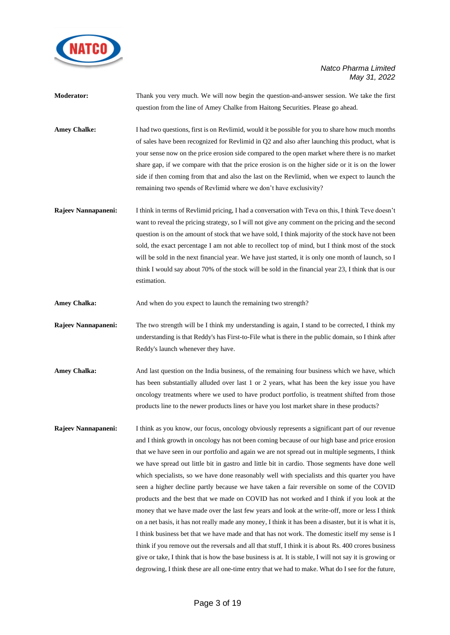

| <b>Moderator:</b>   | Thank you very much. We will now begin the question-and-answer session. We take the first<br>question from the line of Amey Chalke from Haitong Securities. Please go ahead.                                                                                                                                                                                                                                                                                                                                                                                                                                                                                            |
|---------------------|-------------------------------------------------------------------------------------------------------------------------------------------------------------------------------------------------------------------------------------------------------------------------------------------------------------------------------------------------------------------------------------------------------------------------------------------------------------------------------------------------------------------------------------------------------------------------------------------------------------------------------------------------------------------------|
| <b>Amey Chalke:</b> | I had two questions, first is on Revlimid, would it be possible for you to share how much months<br>of sales have been recognized for Revlimid in Q2 and also after launching this product, what is<br>your sense now on the price erosion side compared to the open market where there is no market<br>share gap, if we compare with that the price erosion is on the higher side or it is on the lower<br>side if then coming from that and also the last on the Revlimid, when we expect to launch the<br>remaining two spends of Revlimid where we don't have exclusivity?                                                                                          |
| Rajeev Nannapaneni: | I think in terms of Revlimid pricing, I had a conversation with Teva on this, I think Teve doesn't<br>want to reveal the pricing strategy, so I will not give any comment on the pricing and the second<br>$\mathcal{A} = \mathcal{A} = \mathcal{A} = \mathcal{A} = \mathcal{A} = \mathcal{A} = \mathcal{A} = \mathcal{A} = \mathcal{A} = \mathcal{A} = \mathcal{A} = \mathcal{A} = \mathcal{A} = \mathcal{A} = \mathcal{A} = \mathcal{A} = \mathcal{A} = \mathcal{A} = \mathcal{A} = \mathcal{A} = \mathcal{A} = \mathcal{A} = \mathcal{A} = \mathcal{A} = \mathcal{A} = \mathcal{A} = \mathcal{A} = \mathcal{A} = \mathcal{A} = \mathcal{A} = \mathcal{A} = \mathcal$ |

question is on the amount of stock that we have sold, I think majority of the stock have not been sold, the exact percentage I am not able to recollect top of mind, but I think most of the stock will be sold in the next financial year. We have just started, it is only one month of launch, so I think I would say about 70% of the stock will be sold in the financial year 23, I think that is our estimation.

Amey Chalka: And when do you expect to launch the remaining two strength?

**Rajeev Nannapaneni:** The two strength will be I think my understanding is again, I stand to be corrected, I think my understanding is that Reddy's has First-to-File what is there in the public domain, so I think after Reddy's launch whenever they have.

- Amey Chalka: And last question on the India business, of the remaining four business which we have, which has been substantially alluded over last 1 or 2 years, what has been the key issue you have oncology treatments where we used to have product portfolio, is treatment shifted from those products line to the newer products lines or have you lost market share in these products?
- **Rajeev Nannapaneni:** I think as you know, our focus, oncology obviously represents a significant part of our revenue and I think growth in oncology has not been coming because of our high base and price erosion that we have seen in our portfolio and again we are not spread out in multiple segments, I think we have spread out little bit in gastro and little bit in cardio. Those segments have done well which specialists, so we have done reasonably well with specialists and this quarter you have seen a higher decline partly because we have taken a fair reversible on some of the COVID products and the best that we made on COVID has not worked and I think if you look at the money that we have made over the last few years and look at the write-off, more or less I think on a net basis, it has not really made any money, I think it has been a disaster, but it is what it is, I think business bet that we have made and that has not work. The domestic itself my sense is I think if you remove out the reversals and all that stuff, I think it is about Rs. 400 crores business give or take, I think that is how the base business is at. It is stable, I will not say it is growing or degrowing, I think these are all one-time entry that we had to make. What do I see for the future,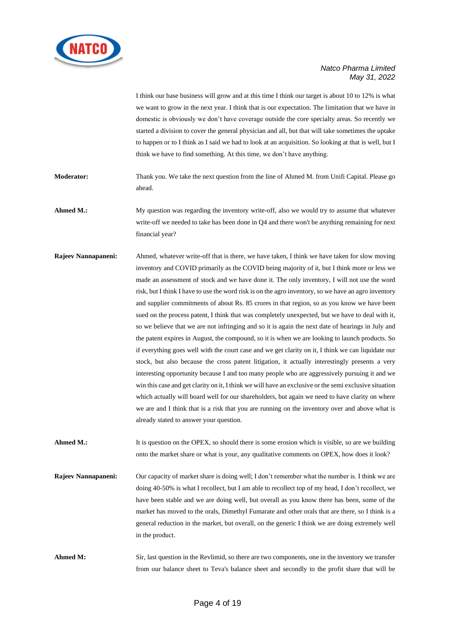

I think our base business will grow and at this time I think our target is about 10 to 12% is what we want to grow in the next year. I think that is our expectation. The limitation that we have in domestic is obviously we don't have coverage outside the core specialty areas. So recently we started a division to cover the general physician and all, but that will take sometimes the uptake to happen or to I think as I said we had to look at an acquisition. So looking at that is well, but I think we have to find something. At this time, we don't have anything.

**Moderator:** Thank you. We take the next question from the line of Ahmed M. from Unifi Capital. Please go ahead.

Ahmed M.: My question was regarding the inventory write-off, also we would try to assume that whatever write-off we needed to take has been done in Q4 and there won't be anything remaining for next financial year?

**Rajeev Nannapaneni:** Ahmed, whatever write-off that is there, we have taken, I think we have taken for slow moving inventory and COVID primarily as the COVID being majority of it, but I think more or less we made an assessment of stock and we have done it. The only inventory, I will not use the word risk, but I think I have to use the word risk is on the agro inventory, so we have an agro inventory and supplier commitments of about Rs. 85 crores in that region, so as you know we have been sued on the process patent, I think that was completely unexpected, but we have to deal with it, so we believe that we are not infringing and so it is again the next date of hearings in July and the patent expires in August, the compound, so it is when we are looking to launch products. So if everything goes well with the court case and we get clarity on it, I think we can liquidate our stock, but also because the cross patent litigation, it actually interestingly presents a very interesting opportunity because I and too many people who are aggressively pursuing it and we win this case and get clarity on it, I think we will have an exclusive or the semi exclusive situation which actually will board well for our shareholders, but again we need to have clarity on where we are and I think that is a risk that you are running on the inventory over and above what is already stated to answer your question.

**Ahmed M.:** It is question on the OPEX, so should there is some erosion which is visible, so are we building onto the market share or what is your, any qualitative comments on OPEX, how does it look?

**Rajeev Nannapaneni:** Our capacity of market share is doing well; I don't remember what the number is. I think we are doing 40-50% is what I recollect, but I am able to recollect top of my head, I don't recollect, we have been stable and we are doing well, but overall as you know there has been, some of the market has moved to the orals, Dimethyl Fumarate and other orals that are there, so I think is a general reduction in the market, but overall, on the generic I think we are doing extremely well in the product.

Ahmed M: Sir, last question in the Revlimid, so there are two components, one in the inventory we transfer from our balance sheet to Teva's balance sheet and secondly to the profit share that will be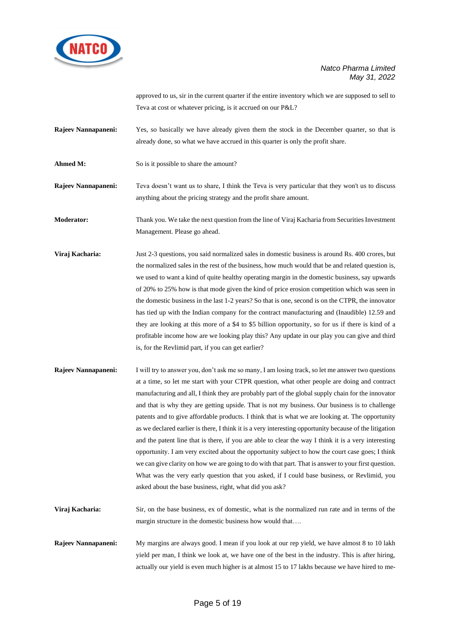

approved to us, sir in the current quarter if the entire inventory which we are supposed to sell to Teva at cost or whatever pricing, is it accrued on our P&L?

- **Rajeev Nannapaneni:** Yes, so basically we have already given them the stock in the December quarter, so that is already done, so what we have accrued in this quarter is only the profit share.
- Ahmed M: So is it possible to share the amount?

**Rajeev Nannapaneni:** Teva doesn't want us to share, I think the Teva is very particular that they won't us to discuss anything about the pricing strategy and the profit share amount.

**Moderator:** Thank you. We take the next question from the line of Viraj Kacharia from Securities Investment Management. Please go ahead.

- **Viraj Kacharia:** Just 2-3 questions, you said normalized sales in domestic business is around Rs. 400 crores, but the normalized sales in the rest of the business, how much would that be and related question is, we used to want a kind of quite healthy operating margin in the domestic business, say upwards of 20% to 25% how is that mode given the kind of price erosion competition which was seen in the domestic business in the last 1-2 years? So that is one, second is on the CTPR, the innovator has tied up with the Indian company for the contract manufacturing and (Inaudible) 12.59 and they are looking at this more of a \$4 to \$5 billion opportunity, so for us if there is kind of a profitable income how are we looking play this? Any update in our play you can give and third is, for the Revlimid part, if you can get earlier?
- **Rajeev Nannapaneni:** I will try to answer you, don't ask me so many, I am losing track, so let me answer two questions at a time, so let me start with your CTPR question, what other people are doing and contract manufacturing and all, I think they are probably part of the global supply chain for the innovator and that is why they are getting upside. That is not my business. Our business is to challenge patents and to give affordable products. I think that is what we are looking at. The opportunity as we declared earlier is there, I think it is a very interesting opportunity because of the litigation and the patent line that is there, if you are able to clear the way I think it is a very interesting opportunity. I am very excited about the opportunity subject to how the court case goes; I think we can give clarity on how we are going to do with that part. That is answer to your first question. What was the very early question that you asked, if I could base business, or Revlimid, you asked about the base business, right, what did you ask?
- **Viraj Kacharia:** Sir, on the base business, ex of domestic, what is the normalized run rate and in terms of the margin structure in the domestic business how would that….
- **Rajeev Nannapaneni:** My margins are always good. I mean if you look at our rep yield, we have almost 8 to 10 lakh yield per man, I think we look at, we have one of the best in the industry. This is after hiring, actually our yield is even much higher is at almost 15 to 17 lakhs because we have hired to me-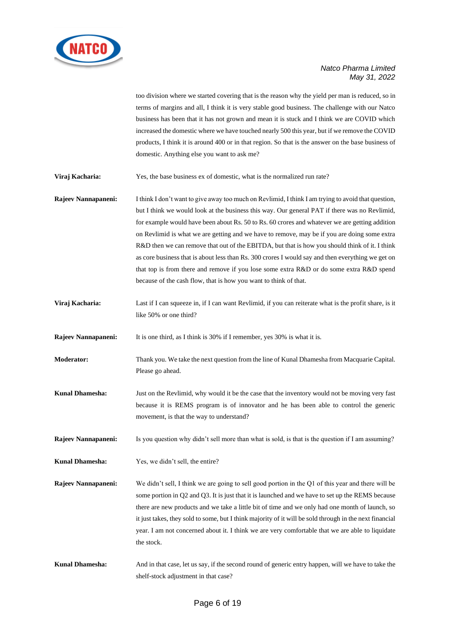

too division where we started covering that is the reason why the yield per man is reduced, so in terms of margins and all, I think it is very stable good business. The challenge with our Natco business has been that it has not grown and mean it is stuck and I think we are COVID which increased the domestic where we have touched nearly 500 this year, but if we remove the COVID products, I think it is around 400 or in that region. So that is the answer on the base business of domestic. Anything else you want to ask me?

**Viraj Kacharia:** Yes, the base business ex of domestic, what is the normalized run rate?

**Rajeev Nannapaneni:** I think I don't want to give away too much on Revlimid, I think I am trying to avoid that question, but I think we would look at the business this way. Our general PAT if there was no Revlimid, for example would have been about Rs. 50 to Rs. 60 crores and whatever we are getting addition on Revlimid is what we are getting and we have to remove, may be if you are doing some extra R&D then we can remove that out of the EBITDA, but that is how you should think of it. I think as core business that is about less than Rs. 300 crores I would say and then everything we get on that top is from there and remove if you lose some extra R&D or do some extra R&D spend because of the cash flow, that is how you want to think of that.

**Viraj Kacharia:** Last if I can squeeze in, if I can want Revlimid, if you can reiterate what is the profit share, is it like 50% or one third?

**Rajeev Nannapaneni:** It is one third, as I think is 30% if I remember, yes 30% is what it is.

- **Moderator:** Thank you. We take the next question from the line of Kunal Dhamesha from Macquarie Capital. Please go ahead.
- **Kunal Dhamesha:** Just on the Revlimid, why would it be the case that the inventory would not be moving very fast because it is REMS program is of innovator and he has been able to control the generic movement, is that the way to understand?

**Rajeev Nannapaneni:** Is you question why didn't sell more than what is sold, is that is the question if I am assuming?

**Kunal Dhamesha:** Yes, we didn't sell, the entire?

**Rajeev Nannapaneni:** We didn't sell, I think we are going to sell good portion in the Q1 of this year and there will be some portion in Q2 and Q3. It is just that it is launched and we have to set up the REMS because there are new products and we take a little bit of time and we only had one month of launch, so it just takes, they sold to some, but I think majority of it will be sold through in the next financial year. I am not concerned about it. I think we are very comfortable that we are able to liquidate the stock.

**Kunal Dhamesha:** And in that case, let us say, if the second round of generic entry happen, will we have to take the shelf-stock adjustment in that case?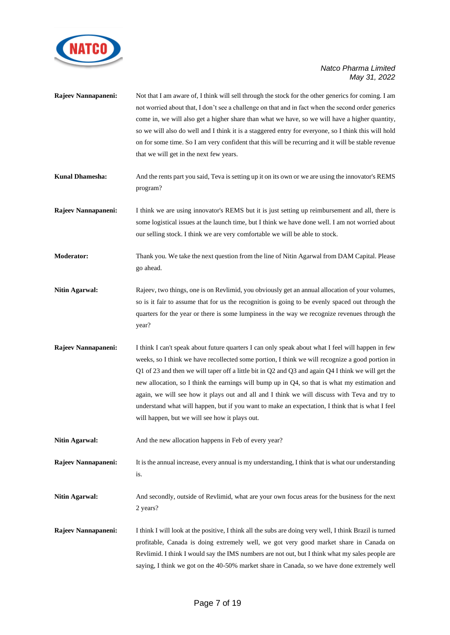

|                        | not worried about that, I don't see a challenge on that and in fact when the second order generics<br>come in, we will also get a higher share than what we have, so we will have a higher quantity,<br>so we will also do well and I think it is a staggered entry for everyone, so I think this will hold<br>on for some time. So I am very confident that this will be recurring and it will be stable revenue<br>that we will get in the next few years.                                                                                                                                                                                                      |
|------------------------|-------------------------------------------------------------------------------------------------------------------------------------------------------------------------------------------------------------------------------------------------------------------------------------------------------------------------------------------------------------------------------------------------------------------------------------------------------------------------------------------------------------------------------------------------------------------------------------------------------------------------------------------------------------------|
| <b>Kunal Dhamesha:</b> | And the rents part you said, Teva is setting up it on its own or we are using the innovator's REMS<br>program?                                                                                                                                                                                                                                                                                                                                                                                                                                                                                                                                                    |
| Rajeev Nannapaneni:    | I think we are using innovator's REMS but it is just setting up reimbursement and all, there is<br>some logistical issues at the launch time, but I think we have done well. I am not worried about<br>our selling stock. I think we are very comfortable we will be able to stock.                                                                                                                                                                                                                                                                                                                                                                               |
| Moderator:             | Thank you. We take the next question from the line of Nitin Agarwal from DAM Capital. Please<br>go ahead.                                                                                                                                                                                                                                                                                                                                                                                                                                                                                                                                                         |
| <b>Nitin Agarwal:</b>  | Rajeev, two things, one is on Revlimid, you obviously get an annual allocation of your volumes,<br>so is it fair to assume that for us the recognition is going to be evenly spaced out through the<br>quarters for the year or there is some lumpiness in the way we recognize revenues through the<br>year?                                                                                                                                                                                                                                                                                                                                                     |
| Rajeev Nannapaneni:    | I think I can't speak about future quarters I can only speak about what I feel will happen in few<br>weeks, so I think we have recollected some portion, I think we will recognize a good portion in<br>Q1 of 23 and then we will taper off a little bit in Q2 and Q3 and again Q4 I think we will get the<br>new allocation, so I think the earnings will bump up in Q4, so that is what my estimation and<br>again, we will see how it plays out and all and I think we will discuss with Teva and try to<br>understand what will happen, but if you want to make an expectation, I think that is what I feel<br>will happen, but we will see how it plays out. |
| <b>Nitin Agarwal:</b>  | And the new allocation happens in Feb of every year?                                                                                                                                                                                                                                                                                                                                                                                                                                                                                                                                                                                                              |
| Rajeev Nannapaneni:    | It is the annual increase, every annual is my understanding, I think that is what our understanding<br>is.                                                                                                                                                                                                                                                                                                                                                                                                                                                                                                                                                        |
| <b>Nitin Agarwal:</b>  | And secondly, outside of Revlimid, what are your own focus areas for the business for the next<br>2 years?                                                                                                                                                                                                                                                                                                                                                                                                                                                                                                                                                        |
| Rajeev Nannapaneni:    | I think I will look at the positive, I think all the subs are doing very well, I think Brazil is turned<br>profitable, Canada is doing extremely well, we got very good market share in Canada on<br>Revlimid. I think I would say the IMS numbers are not out, but I think what my sales people are<br>saying, I think we got on the 40-50% market share in Canada, so we have done extremely well                                                                                                                                                                                                                                                               |

**Rajeev Nannapaneni:** Not that I am aware of, I think will sell through the stock for the other generics for coming. I am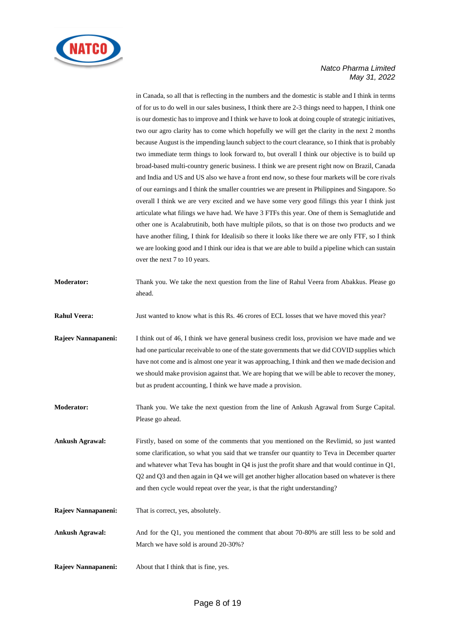

in Canada, so all that is reflecting in the numbers and the domestic is stable and I think in terms of for us to do well in our sales business, I think there are 2-3 things need to happen, I think one is our domestic has to improve and I think we have to look at doing couple of strategic initiatives, two our agro clarity has to come which hopefully we will get the clarity in the next 2 months because August is the impending launch subject to the court clearance, so I think that is probably two immediate term things to look forward to, but overall I think our objective is to build up broad-based multi-country generic business. I think we are present right now on Brazil, Canada and India and US and US also we have a front end now, so these four markets will be core rivals of our earnings and I think the smaller countries we are present in Philippines and Singapore. So overall I think we are very excited and we have some very good filings this year I think just articulate what filings we have had. We have 3 FTFs this year. One of them is Semaglutide and other one is Acalabrutinib, both have multiple pilots, so that is on those two products and we have another filing, I think for Idealisib so there it looks like there we are only FTF, so I think we are looking good and I think our idea is that we are able to build a pipeline which can sustain over the next 7 to 10 years.

- **Moderator:** Thank you. We take the next question from the line of Rahul Veera from Abakkus. Please go ahead.
- **Rahul Veera:** Just wanted to know what is this Rs. 46 crores of ECL losses that we have moved this year?
- **Rajeev Nannapaneni:** I think out of 46, I think we have general business credit loss, provision we have made and we had one particular receivable to one of the state governments that we did COVID supplies which have not come and is almost one year it was approaching, I think and then we made decision and we should make provision against that. We are hoping that we will be able to recover the money, but as prudent accounting, I think we have made a provision.
- **Moderator:** Thank you. We take the next question from the line of Ankush Agrawal from Surge Capital. Please go ahead.
- **Ankush Agrawal:** Firstly, based on some of the comments that you mentioned on the Revlimid, so just wanted some clarification, so what you said that we transfer our quantity to Teva in December quarter and whatever what Teva has bought in Q4 is just the profit share and that would continue in Q1, Q2 and Q3 and then again in Q4 we will get another higher allocation based on whatever is there and then cycle would repeat over the year, is that the right understanding?
- **Rajeev Nannapaneni:** That is correct, yes, absolutely.
- **Ankush Agrawal:** And for the Q1, you mentioned the comment that about 70-80% are still less to be sold and March we have sold is around 20-30%?
- **Rajeev Nannapaneni:** About that I think that is fine, yes.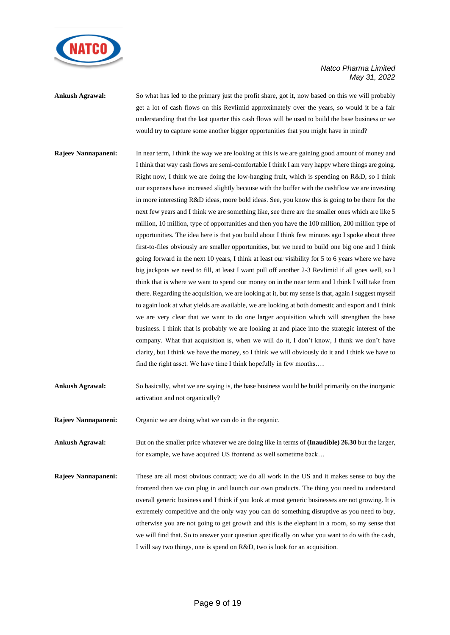

**Ankush Agrawal:** So what has led to the primary just the profit share, got it, now based on this we will probably get a lot of cash flows on this Revlimid approximately over the years, so would it be a fair understanding that the last quarter this cash flows will be used to build the base business or we would try to capture some another bigger opportunities that you might have in mind?

**Rajeev Nannapaneni:** In near term, I think the way we are looking at this is we are gaining good amount of money and I think that way cash flows are semi-comfortable I think I am very happy where things are going. Right now, I think we are doing the low-hanging fruit, which is spending on R&D, so I think our expenses have increased slightly because with the buffer with the cashflow we are investing in more interesting R&D ideas, more bold ideas. See, you know this is going to be there for the next few years and I think we are something like, see there are the smaller ones which are like 5 million, 10 million, type of opportunities and then you have the 100 million, 200 million type of opportunities. The idea here is that you build about I think few minutes ago I spoke about three first-to-files obviously are smaller opportunities, but we need to build one big one and I think going forward in the next 10 years, I think at least our visibility for 5 to 6 years where we have big jackpots we need to fill, at least I want pull off another 2-3 Revlimid if all goes well, so I think that is where we want to spend our money on in the near term and I think I will take from there. Regarding the acquisition, we are looking at it, but my sense is that, again I suggest myself to again look at what yields are available, we are looking at both domestic and export and I think we are very clear that we want to do one larger acquisition which will strengthen the base business. I think that is probably we are looking at and place into the strategic interest of the company. What that acquisition is, when we will do it, I don't know, I think we don't have clarity, but I think we have the money, so I think we will obviously do it and I think we have to find the right asset. We have time I think hopefully in few months….

**Ankush Agrawal:** So basically, what we are saying is, the base business would be build primarily on the inorganic activation and not organically?

**Rajeev Nannapaneni:** Organic we are doing what we can do in the organic.

**Ankush Agrawal:** But on the smaller price whatever we are doing like in terms of **(Inaudible) 26.30** but the larger, for example, we have acquired US frontend as well sometime back…

**Rajeev Nannapaneni:** These are all most obvious contract; we do all work in the US and it makes sense to buy the frontend then we can plug in and launch our own products. The thing you need to understand overall generic business and I think if you look at most generic businesses are not growing. It is extremely competitive and the only way you can do something disruptive as you need to buy, otherwise you are not going to get growth and this is the elephant in a room, so my sense that we will find that. So to answer your question specifically on what you want to do with the cash, I will say two things, one is spend on R&D, two is look for an acquisition.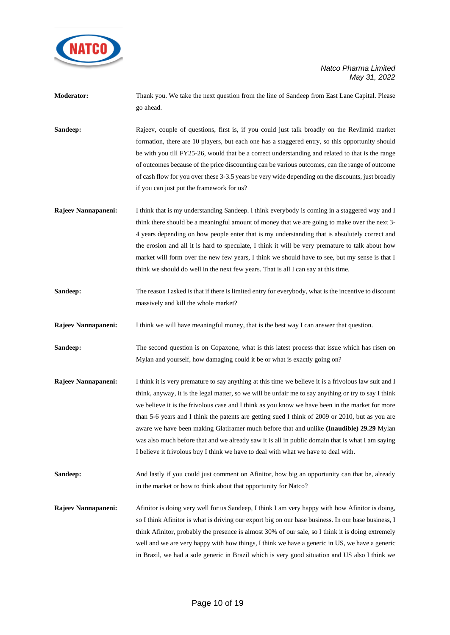

| Moderator:          | Thank you. We take the next question from the line of Sandeep from East Lane Capital. Please<br>go ahead.                                                                                                                                                                                                                                                                                                                                                                                                                                                                                                                                                                                                 |
|---------------------|-----------------------------------------------------------------------------------------------------------------------------------------------------------------------------------------------------------------------------------------------------------------------------------------------------------------------------------------------------------------------------------------------------------------------------------------------------------------------------------------------------------------------------------------------------------------------------------------------------------------------------------------------------------------------------------------------------------|
| Sandeep:            | Rajeev, couple of questions, first is, if you could just talk broadly on the Revlimid market<br>formation, there are 10 players, but each one has a staggered entry, so this opportunity should<br>be with you till FY25-26, would that be a correct understanding and related to that is the range<br>of outcomes because of the price discounting can be various outcomes, can the range of outcome<br>of cash flow for you over these 3-3.5 years be very wide depending on the discounts, just broadly<br>if you can just put the framework for us?                                                                                                                                                   |
| Rajeev Nannapaneni: | I think that is my understanding Sandeep. I think everybody is coming in a staggered way and I<br>think there should be a meaningful amount of money that we are going to make over the next 3-<br>4 years depending on how people enter that is my understanding that is absolutely correct and<br>the erosion and all it is hard to speculate, I think it will be very premature to talk about how<br>market will form over the new few years, I think we should have to see, but my sense is that I<br>think we should do well in the next few years. That is all I can say at this time.                                                                                                              |
| Sandeep:            | The reason I asked is that if there is limited entry for everybody, what is the incentive to discount<br>massively and kill the whole market?                                                                                                                                                                                                                                                                                                                                                                                                                                                                                                                                                             |
| Rajeev Nannapaneni: | I think we will have meaningful money, that is the best way I can answer that question.                                                                                                                                                                                                                                                                                                                                                                                                                                                                                                                                                                                                                   |
| Sandeep:            | The second question is on Copaxone, what is this latest process that issue which has risen on<br>Mylan and yourself, how damaging could it be or what is exactly going on?                                                                                                                                                                                                                                                                                                                                                                                                                                                                                                                                |
| Rajeev Nannapaneni: | I think it is very premature to say anything at this time we believe it is a frivolous law suit and I<br>think, anyway, it is the legal matter, so we will be unfair me to say anything or try to say I think<br>we believe it is the frivolous case and I think as you know we have been in the market for more<br>than 5-6 years and I think the patents are getting sued I think of 2009 or 2010, but as you are<br>aware we have been making Glatiramer much before that and unlike (Inaudible) 29.29 Mylan<br>was also much before that and we already saw it is all in public domain that is what I am saying<br>I believe it frivolous buy I think we have to deal with what we have to deal with. |
| Sandeep:            | And lastly if you could just comment on Afinitor, how big an opportunity can that be, already<br>in the market or how to think about that opportunity for Natco?                                                                                                                                                                                                                                                                                                                                                                                                                                                                                                                                          |
| Rajeev Nannapaneni: | Afinitor is doing very well for us Sandeep, I think I am very happy with how Afinitor is doing,<br>so I think Afinitor is what is driving our export big on our base business. In our base business, I<br>think Afinitor, probably the presence is almost 30% of our sale, so I think it is doing extremely<br>well and we are very happy with how things, I think we have a generic in US, we have a generic<br>in Brazil, we had a sole generic in Brazil which is very good situation and US also I think we                                                                                                                                                                                           |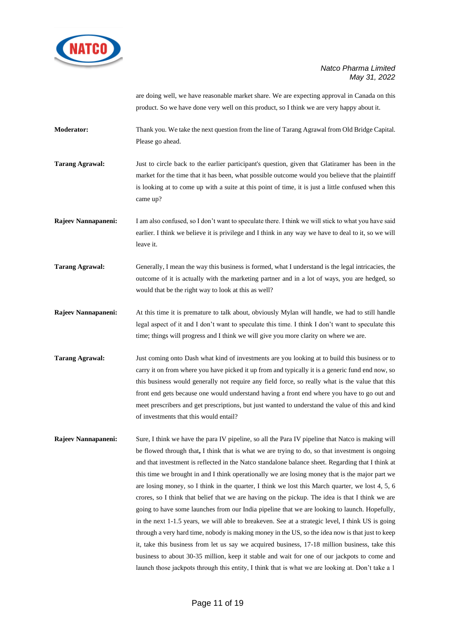

are doing well, we have reasonable market share. We are expecting approval in Canada on this product. So we have done very well on this product, so I think we are very happy about it.

**Moderator:** Thank you. We take the next question from the line of Tarang Agrawal from Old Bridge Capital. Please go ahead.

**Tarang Agrawal:** Just to circle back to the earlier participant's question, given that Glatiramer has been in the market for the time that it has been, what possible outcome would you believe that the plaintiff is looking at to come up with a suite at this point of time, it is just a little confused when this came up?

**Rajeev Nannapaneni:** I am also confused, so I don't want to speculate there. I think we will stick to what you have said earlier. I think we believe it is privilege and I think in any way we have to deal to it, so we will leave it.

**Tarang Agrawal:** Generally, I mean the way this business is formed, what I understand is the legal intricacies, the outcome of it is actually with the marketing partner and in a lot of ways, you are hedged, so would that be the right way to look at this as well?

**Rajeev Nannapaneni:** At this time it is premature to talk about, obviously Mylan will handle, we had to still handle legal aspect of it and I don't want to speculate this time. I think I don't want to speculate this time; things will progress and I think we will give you more clarity on where we are.

**Tarang Agrawal:** Just coming onto Dash what kind of investments are you looking at to build this business or to carry it on from where you have picked it up from and typically it is a generic fund end now, so this business would generally not require any field force, so really what is the value that this front end gets because one would understand having a front end where you have to go out and meet prescribers and get prescriptions, but just wanted to understand the value of this and kind of investments that this would entail?

**Rajeev Nannapaneni:** Sure, I think we have the para IV pipeline, so all the Para IV pipeline that Natco is making will be flowed through that**,** I think that is what we are trying to do, so that investment is ongoing and that investment is reflected in the Natco standalone balance sheet. Regarding that I think at this time we brought in and I think operationally we are losing money that is the major part we are losing money, so I think in the quarter, I think we lost this March quarter, we lost 4, 5, 6 crores, so I think that belief that we are having on the pickup. The idea is that I think we are going to have some launches from our India pipeline that we are looking to launch. Hopefully, in the next 1-1.5 years, we will able to breakeven. See at a strategic level, I think US is going through a very hard time, nobody is making money in the US, so the idea now is that just to keep it, take this business from let us say we acquired business, 17-18 million business, take this business to about 30-35 million, keep it stable and wait for one of our jackpots to come and launch those jackpots through this entity, I think that is what we are looking at. Don't take a 1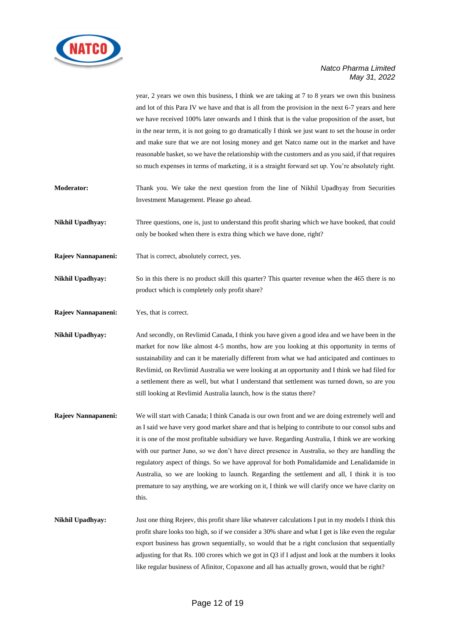

year, 2 years we own this business, I think we are taking at 7 to 8 years we own this business and lot of this Para IV we have and that is all from the provision in the next 6-7 years and here we have received 100% later onwards and I think that is the value proposition of the asset, but in the near term, it is not going to go dramatically I think we just want to set the house in order and make sure that we are not losing money and get Natco name out in the market and have reasonable basket, so we have the relationship with the customers and as you said, if that requires so much expenses in terms of marketing, it is a straight forward set up. You're absolutely right.

- **Moderator:** Thank you. We take the next question from the line of Nikhil Upadhyay from Securities Investment Management. Please go ahead.
- **Nikhil Upadhyay:** Three questions, one is, just to understand this profit sharing which we have booked, that could only be booked when there is extra thing which we have done, right?
- **Rajeev Nannapaneni:** That is correct, absolutely correct, yes.
- **Nikhil Upadhyay:** So in this there is no product skill this quarter? This quarter revenue when the 465 there is no product which is completely only profit share?
- **Rajeev Nannapaneni:** Yes, that is correct.

**Nikhil Upadhyay:** And secondly, on Revlimid Canada, I think you have given a good idea and we have been in the market for now like almost 4-5 months, how are you looking at this opportunity in terms of sustainability and can it be materially different from what we had anticipated and continues to Revlimid, on Revlimid Australia we were looking at an opportunity and I think we had filed for a settlement there as well, but what I understand that settlement was turned down, so are you still looking at Revlimid Australia launch, how is the status there?

- **Rajeev Nannapaneni:** We will start with Canada; I think Canada is our own front and we are doing extremely well and as I said we have very good market share and that is helping to contribute to our consol subs and it is one of the most profitable subsidiary we have. Regarding Australia, I think we are working with our partner Juno, so we don't have direct presence in Australia, so they are handling the regulatory aspect of things. So we have approval for both Pomalidamide and Lenalidamide in Australia, so we are looking to launch. Regarding the settlement and all, I think it is too premature to say anything, we are working on it, I think we will clarify once we have clarity on this.
- **Nikhil Upadhyay:** Just one thing Rejeev, this profit share like whatever calculations I put in my models I think this profit share looks too high, so if we consider a 30% share and what I get is like even the regular export business has grown sequentially, so would that be a right conclusion that sequentially adjusting for that Rs. 100 crores which we got in Q3 if I adjust and look at the numbers it looks like regular business of Afinitor, Copaxone and all has actually grown, would that be right?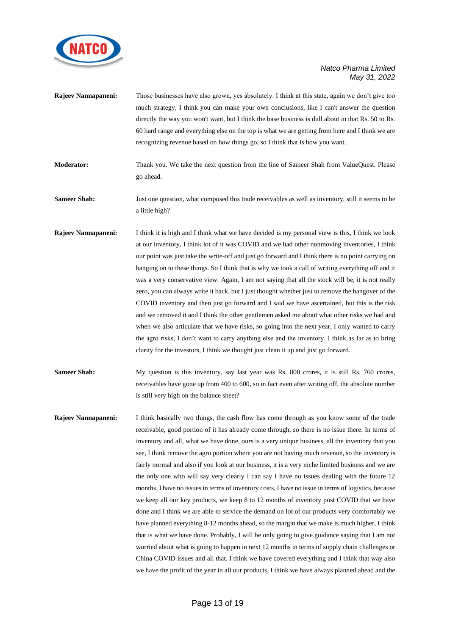

| Rajeev Nannapaneni: | Those businesses have also grown, yes absolutely. I think at this state, again we don't give too<br>much strategy, I think you can make your own conclusions, like I can't answer the question<br>directly the way you won't want, but I think the base business is dull about in that Rs. 50 to Rs.<br>60 hard range and everything else on the top is what we are getting from here and I think we are<br>recognizing revenue based on how things go, so I think that is how you want.                                                                                                                                                                                                                                                                                                                                                                                                                                                                                                                                                                                                                                 |
|---------------------|--------------------------------------------------------------------------------------------------------------------------------------------------------------------------------------------------------------------------------------------------------------------------------------------------------------------------------------------------------------------------------------------------------------------------------------------------------------------------------------------------------------------------------------------------------------------------------------------------------------------------------------------------------------------------------------------------------------------------------------------------------------------------------------------------------------------------------------------------------------------------------------------------------------------------------------------------------------------------------------------------------------------------------------------------------------------------------------------------------------------------|
| <b>Moderator:</b>   | Thank you. We take the next question from the line of Sameer Shah from ValueQuest. Please<br>go ahead.                                                                                                                                                                                                                                                                                                                                                                                                                                                                                                                                                                                                                                                                                                                                                                                                                                                                                                                                                                                                                   |
| <b>Sameer Shah:</b> | Just one question, what composed this trade receivables as well as inventory, still it seems to be<br>a little high?                                                                                                                                                                                                                                                                                                                                                                                                                                                                                                                                                                                                                                                                                                                                                                                                                                                                                                                                                                                                     |
| Rajeev Nannapaneni: | I think it is high and I think what we have decided is my personal view is this, I think we look<br>at our inventory, I think lot of it was COVID and we had other nonmoving inventories, I think<br>our point was just take the write-off and just go forward and I think there is no point carrying on<br>hanging on to these things. So I think that is why we took a call of writing everything off and it<br>was a very conservative view. Again, I am not saying that all the stock will be, it is not really<br>zero, you can always write it back, but I just thought whether just to remove the hangover of the<br>COVID inventory and then just go forward and I said we have ascertained, but this is the risk<br>and we removed it and I think the other gentlemen asked me about what other risks we had and<br>when we also articulate that we have risks, so going into the next year, I only wanted to carry<br>the agro risks, I don't want to carry anything else and the inventory. I think as far as to bring<br>clarity for the investors, I think we thought just clean it up and just go forward. |
| <b>Sameer Shah:</b> | My question is this inventory, say last year was Rs. 800 crores, it is still Rs. 760 crores,<br>receivables have gone up from 400 to 600, so in fact even after writing off, the absolute number<br>is still very high on the balance sheet?                                                                                                                                                                                                                                                                                                                                                                                                                                                                                                                                                                                                                                                                                                                                                                                                                                                                             |
| Rajeev Nannapaneni: | I think basically two things, the cash flow has come through as you know some of the trade<br>receivable, good portion of it has already come through, so there is no issue there. In terms of<br>inventory and all, what we have done, ours is a very unique business, all the inventory that you<br>see, I think remove the agro portion where you are not having much revenue, so the inventory is<br>fairly normal and also if you look at our business, it is a very niche limited business and we are<br>the only one who will say very clearly I can say I have no issues dealing with the future 12<br>months, I have no issues in terms of inventory costs, I have no issue in terms of logistics, because<br>we keep all our key products, we keep 8 to 12 months of inventory post COVID that we have<br>done and I think we are able to service the demand on let of our ready at xervi comfortably we                                                                                                                                                                                                       |

done and I think we are able to service the demand on lot of our products very comfortably we have planned everything 8-12 months ahead, so the margin that we make is much higher, I think that is what we have done. Probably, I will be only going to give guidance saying that I am not worried about what is going to happen in next 12 months in terms of supply chain challenges or China COVID issues and all that. I think we have covered everything and I think that way also we have the profit of the year in all our products, I think we have always planned ahead and the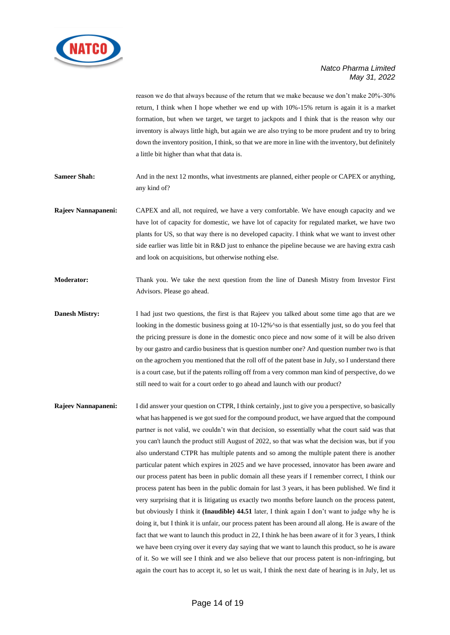

reason we do that always because of the return that we make because we don't make 20%-30% return, I think when I hope whether we end up with 10%-15% return is again it is a market formation, but when we target, we target to jackpots and I think that is the reason why our inventory is always little high, but again we are also trying to be more prudent and try to bring down the inventory position, I think, so that we are more in line with the inventory, but definitely a little bit higher than what that data is.

**Sameer Shah:** And in the next 12 months, what investments are planned, either people or CAPEX or anything, any kind of?

- **Rajeev Nannapaneni:** CAPEX and all, not required, we have a very comfortable. We have enough capacity and we have lot of capacity for domestic, we have lot of capacity for regulated market, we have two plants for US, so that way there is no developed capacity. I think what we want to invest other side earlier was little bit in R&D just to enhance the pipeline because we are having extra cash and look on acquisitions, but otherwise nothing else.
- **Moderator:** Thank you. We take the next question from the line of Danesh Mistry from Investor First Advisors. Please go ahead.
- **Danesh Mistry:** I had just two questions, the first is that Rajeev you talked about some time ago that are we looking in the domestic business going at 10-12%^so is that essentially just, so do you feel that the pricing pressure is done in the domestic onco piece and now some of it will be also driven by our gastro and cardio business that is question number one? And question number two is that on the agrochem you mentioned that the roll off of the patent base in July, so I understand there is a court case, but if the patents rolling off from a very common man kind of perspective, do we still need to wait for a court order to go ahead and launch with our product?
- **Rajeev Nannapaneni:** I did answer your question on CTPR, I think certainly, just to give you a perspective, so basically what has happened is we got sued for the compound product, we have argued that the compound partner is not valid, we couldn't win that decision, so essentially what the court said was that you can't launch the product still August of 2022, so that was what the decision was, but if you also understand CTPR has multiple patents and so among the multiple patent there is another particular patent which expires in 2025 and we have processed, innovator has been aware and our process patent has been in public domain all these years if I remember correct, I think our process patent has been in the public domain for last 3 years, it has been published. We find it very surprising that it is litigating us exactly two months before launch on the process patent, but obviously I think it **(Inaudible) 44.51** later, I think again I don't want to judge why he is doing it, but I think it is unfair, our process patent has been around all along. He is aware of the fact that we want to launch this product in 22, I think he has been aware of it for 3 years, I think we have been crying over it every day saying that we want to launch this product, so he is aware of it. So we will see I think and we also believe that our process patent is non-infringing, but again the court has to accept it, so let us wait, I think the next date of hearing is in July, let us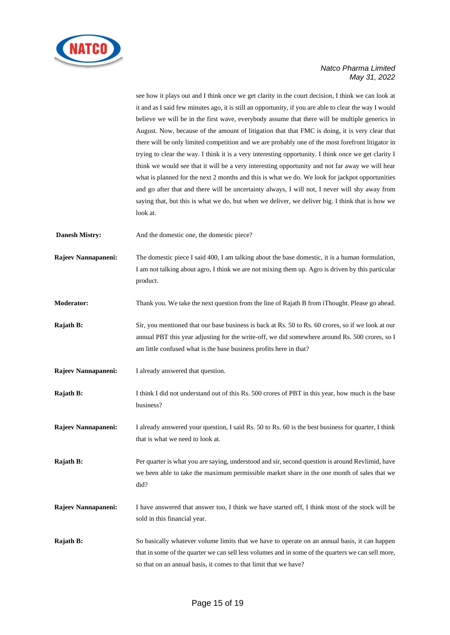

see how it plays out and I think once we get clarity in the court decision, I think we can look at it and as I said few minutes ago, it is still an opportunity, if you are able to clear the way I would believe we will be in the first wave, everybody assume that there will be multiple generics in August. Now, because of the amount of litigation that that FMC is doing, it is very clear that there will be only limited competition and we are probably one of the most forefront litigator in trying to clear the way. I think it is a very interesting opportunity. I think once we get clarity I think we would see that it will be a very interesting opportunity and not far away we will hear what is planned for the next 2 months and this is what we do. We look for jackpot opportunities and go after that and there will be uncertainty always, I will not, I never will shy away from saying that, but this is what we do, but when we deliver, we deliver big. I think that is how we look at.

**Danesh Mistry:** And the domestic one, the domestic piece?

**Rajeev Nannapaneni:** The domestic piece I said 400, I am talking about the base domestic, it is a human formulation, I am not talking about agro, I think we are not mixing them up. Agro is driven by this particular product.

**Moderator:** Thank you. We take the next question from the line of Rajath B from iThought. Please go ahead.

- **Rajath B:** Sir, you mentioned that our base business is back at Rs. 50 to Rs. 60 crores, so if we look at our annual PBT this year adjusting for the write-off, we did somewhere around Rs. 500 crores, so I am little confused what is the base business profits here in that?
- **Rajeev Nannapaneni:** I already answered that question.
- **Rajath B:** I think I did not understand out of this Rs. 500 crores of PBT in this year, how much is the base business?

**Rajeev Nannapaneni:** I already answered your question, I said Rs. 50 to Rs. 60 is the best business for quarter, I think that is what we need to look at.

**Rajath B:** Per quarter is what you are saying, understood and sir, second question is around Revlimid, have we been able to take the maximum permissible market share in the one month of sales that we did?

**Rajeev Nannapaneni:** I have answered that answer too, I think we have started off, I think most of the stock will be sold in this financial year.

**Rajath B:** So basically whatever volume limits that we have to operate on an annual basis, it can happen that in some of the quarter we can sell less volumes and in some of the quarters we can sell more, so that on an annual basis, it comes to that limit that we have?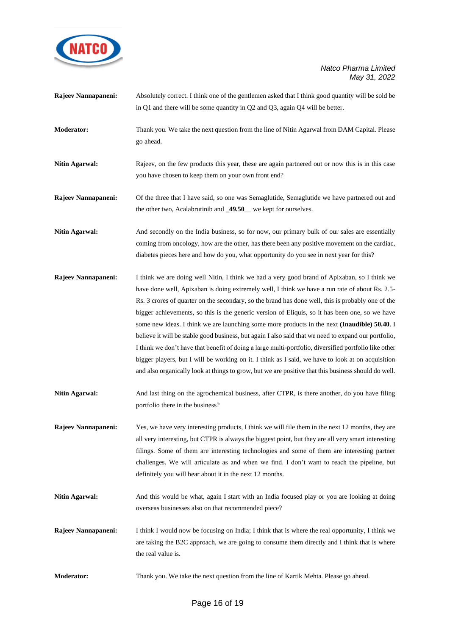

|                       | in Q1 and there will be some quantity in Q2 and Q3, again Q4 will be better.                                                                                                                                                                                                                                                                                                                                                                                                                                                                                                                                                                                                                                                                                                                                                                                                                                                       |
|-----------------------|------------------------------------------------------------------------------------------------------------------------------------------------------------------------------------------------------------------------------------------------------------------------------------------------------------------------------------------------------------------------------------------------------------------------------------------------------------------------------------------------------------------------------------------------------------------------------------------------------------------------------------------------------------------------------------------------------------------------------------------------------------------------------------------------------------------------------------------------------------------------------------------------------------------------------------|
| <b>Moderator:</b>     | Thank you. We take the next question from the line of Nitin Agarwal from DAM Capital. Please<br>go ahead.                                                                                                                                                                                                                                                                                                                                                                                                                                                                                                                                                                                                                                                                                                                                                                                                                          |
| <b>Nitin Agarwal:</b> | Rajeev, on the few products this year, these are again partnered out or now this is in this case<br>you have chosen to keep them on your own front end?                                                                                                                                                                                                                                                                                                                                                                                                                                                                                                                                                                                                                                                                                                                                                                            |
| Rajeev Nannapaneni:   | Of the three that I have said, so one was Semaglutide, Semaglutide we have partnered out and<br>the other two, Acalabrutinib and _49.50_ we kept for ourselves.                                                                                                                                                                                                                                                                                                                                                                                                                                                                                                                                                                                                                                                                                                                                                                    |
| <b>Nitin Agarwal:</b> | And secondly on the India business, so for now, our primary bulk of our sales are essentially<br>coming from oncology, how are the other, has there been any positive movement on the cardiac,<br>diabetes pieces here and how do you, what opportunity do you see in next year for this?                                                                                                                                                                                                                                                                                                                                                                                                                                                                                                                                                                                                                                          |
| Rajeev Nannapaneni:   | I think we are doing well Nitin, I think we had a very good brand of Apixaban, so I think we<br>have done well, Apixaban is doing extremely well, I think we have a run rate of about Rs. 2.5-<br>Rs. 3 crores of quarter on the secondary, so the brand has done well, this is probably one of the<br>bigger achievements, so this is the generic version of Eliquis, so it has been one, so we have<br>some new ideas. I think we are launching some more products in the next (Inaudible) 50.40. I<br>believe it will be stable good business, but again I also said that we need to expand our portfolio,<br>I think we don't have that benefit of doing a large multi-portfolio, diversified portfolio like other<br>bigger players, but I will be working on it. I think as I said, we have to look at on acquisition<br>and also organically look at things to grow, but we are positive that this business should do well. |
| <b>Nitin Agarwal:</b> | And last thing on the agrochemical business, after CTPR, is there another, do you have filing<br>portfolio there in the business?                                                                                                                                                                                                                                                                                                                                                                                                                                                                                                                                                                                                                                                                                                                                                                                                  |
| Rajeev Nannapaneni:   | Yes, we have very interesting products, I think we will file them in the next 12 months, they are<br>all very interesting, but CTPR is always the biggest point, but they are all very smart interesting<br>filings. Some of them are interesting technologies and some of them are interesting partner<br>challenges. We will articulate as and when we find. I don't want to reach the pipeline, but<br>definitely you will hear about it in the next 12 months.                                                                                                                                                                                                                                                                                                                                                                                                                                                                 |
| <b>Nitin Agarwal:</b> | And this would be what, again I start with an India focused play or you are looking at doing<br>overseas businesses also on that recommended piece?                                                                                                                                                                                                                                                                                                                                                                                                                                                                                                                                                                                                                                                                                                                                                                                |
| Rajeev Nannapaneni:   | I think I would now be focusing on India; I think that is where the real opportunity, I think we<br>are taking the B2C approach, we are going to consume them directly and I think that is where<br>the real value is.                                                                                                                                                                                                                                                                                                                                                                                                                                                                                                                                                                                                                                                                                                             |
| <b>Moderator:</b>     | Thank you. We take the next question from the line of Kartik Mehta. Please go ahead.                                                                                                                                                                                                                                                                                                                                                                                                                                                                                                                                                                                                                                                                                                                                                                                                                                               |

**Rajeev Nannapaneni:** Absolutely correct. I think one of the gentlemen asked that I think good quantity will be sold be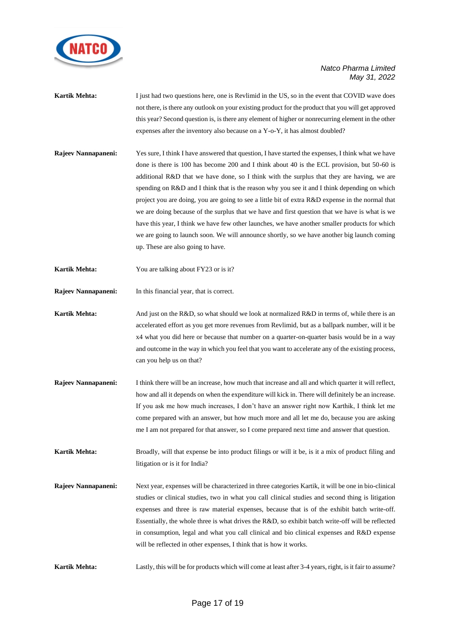

- **Kartik Mehta:** I just had two questions here, one is Revlimid in the US, so in the event that COVID wave does not there, is there any outlook on your existing product for the product that you will get approved this year? Second question is, is there any element of higher or nonrecurring element in the other expenses after the inventory also because on a Y-o-Y, it has almost doubled?
- **Rajeev Nannapaneni:** Yes sure, I think I have answered that question, I have started the expenses, I think what we have done is there is 100 has become 200 and I think about 40 is the ECL provision, but 50-60 is additional R&D that we have done, so I think with the surplus that they are having, we are spending on R&D and I think that is the reason why you see it and I think depending on which project you are doing, you are going to see a little bit of extra R&D expense in the normal that we are doing because of the surplus that we have and first question that we have is what is we have this year, I think we have few other launches, we have another smaller products for which we are going to launch soon. We will announce shortly, so we have another big launch coming up. These are also going to have.
- **Kartik Mehta:** You are talking about FY23 or is it?
- **Rajeev Nannapaneni:** In this financial year, that is correct.
- **Kartik Mehta:** And just on the R&D, so what should we look at normalized R&D in terms of, while there is an accelerated effort as you get more revenues from Revlimid, but as a ballpark number, will it be x4 what you did here or because that number on a quarter-on-quarter basis would be in a way and outcome in the way in which you feel that you want to accelerate any of the existing process, can you help us on that?
- **Rajeev Nannapaneni:** I think there will be an increase, how much that increase and all and which quarter it will reflect, how and all it depends on when the expenditure will kick in. There will definitely be an increase. If you ask me how much increases, I don't have an answer right now Karthik, I think let me come prepared with an answer, but how much more and all let me do, because you are asking me I am not prepared for that answer, so I come prepared next time and answer that question.
- **Kartik Mehta:** Broadly, will that expense be into product filings or will it be, is it a mix of product filing and litigation or is it for India?
- **Rajeev Nannapaneni:** Next year, expenses will be characterized in three categories Kartik, it will be one in bio-clinical studies or clinical studies, two in what you call clinical studies and second thing is litigation expenses and three is raw material expenses, because that is of the exhibit batch write-off. Essentially, the whole three is what drives the R&D, so exhibit batch write-off will be reflected in consumption, legal and what you call clinical and bio clinical expenses and R&D expense will be reflected in other expenses, I think that is how it works.
- **Kartik Mehta:** Lastly, this will be for products which will come at least after 3-4 years, right, is it fair to assume?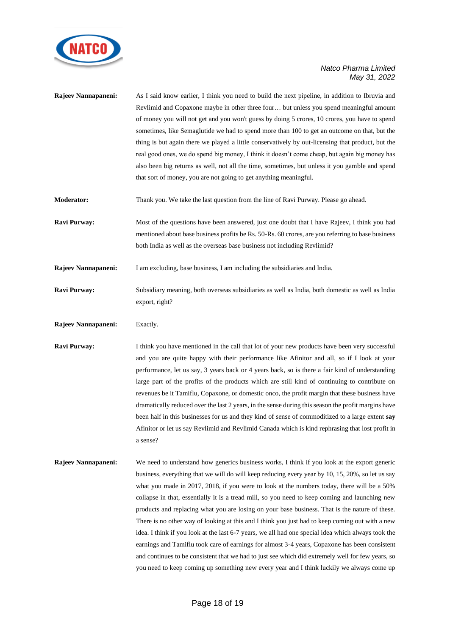

| Rajeev Nannapaneni: | As I said know earlier, I think you need to build the next pipeline, in addition to Ibruvia and<br>Revlimid and Copaxone maybe in other three four but unless you spend meaningful amount<br>of money you will not get and you won't guess by doing 5 crores, 10 crores, you have to spend<br>sometimes, like Semaglutide we had to spend more than 100 to get an outcome on that, but the<br>thing is but again there we played a little conservatively by out-licensing that product, but the<br>real good ones, we do spend big money, I think it doesn't come cheap, but again big money has<br>also been big returns as well, not all the time, sometimes, but unless it you gamble and spend<br>that sort of money, you are not going to get anything meaningful.                                                                                                                                                                                                                                        |
|---------------------|----------------------------------------------------------------------------------------------------------------------------------------------------------------------------------------------------------------------------------------------------------------------------------------------------------------------------------------------------------------------------------------------------------------------------------------------------------------------------------------------------------------------------------------------------------------------------------------------------------------------------------------------------------------------------------------------------------------------------------------------------------------------------------------------------------------------------------------------------------------------------------------------------------------------------------------------------------------------------------------------------------------|
| <b>Moderator:</b>   | Thank you. We take the last question from the line of Ravi Purway. Please go ahead.                                                                                                                                                                                                                                                                                                                                                                                                                                                                                                                                                                                                                                                                                                                                                                                                                                                                                                                            |
| Ravi Purway:        | Most of the questions have been answered, just one doubt that I have Rajeev, I think you had<br>mentioned about base business profits be Rs. 50-Rs. 60 crores, are you referring to base business<br>both India as well as the overseas base business not including Revlimid?                                                                                                                                                                                                                                                                                                                                                                                                                                                                                                                                                                                                                                                                                                                                  |
| Rajeev Nannapaneni: | I am excluding, base business, I am including the subsidiaries and India.                                                                                                                                                                                                                                                                                                                                                                                                                                                                                                                                                                                                                                                                                                                                                                                                                                                                                                                                      |
| Ravi Purway:        | Subsidiary meaning, both overseas subsidiaries as well as India, both domestic as well as India<br>export, right?                                                                                                                                                                                                                                                                                                                                                                                                                                                                                                                                                                                                                                                                                                                                                                                                                                                                                              |
| Rajeev Nannapaneni: | Exactly.                                                                                                                                                                                                                                                                                                                                                                                                                                                                                                                                                                                                                                                                                                                                                                                                                                                                                                                                                                                                       |
| <b>Ravi Purway:</b> | I think you have mentioned in the call that lot of your new products have been very successful<br>and you are quite happy with their performance like Afinitor and all, so if I look at your<br>performance, let us say, 3 years back or 4 years back, so is there a fair kind of understanding<br>large part of the profits of the products which are still kind of continuing to contribute on<br>revenues be it Tamiflu, Copaxone, or domestic onco, the profit margin that these business have<br>dramatically reduced over the last 2 years, in the sense during this season the profit margins have<br>been half in this businesses for us and they kind of sense of commoditized to a large extent say<br>Afinitor or let us say Revlimid and Revlimid Canada which is kind rephrasing that lost profit in<br>a sense?                                                                                                                                                                                  |
| Rajeev Nannapaneni: | We need to understand how generics business works, I think if you look at the export generic<br>business, everything that we will do will keep reducing every year by 10, 15, 20%, so let us say<br>what you made in 2017, 2018, if you were to look at the numbers today, there will be a 50%<br>collapse in that, essentially it is a tread mill, so you need to keep coming and launching new<br>products and replacing what you are losing on your base business. That is the nature of these.<br>There is no other way of looking at this and I think you just had to keep coming out with a new<br>idea. I think if you look at the last 6-7 years, we all had one special idea which always took the<br>earnings and Tamiflu took care of earnings for almost 3-4 years, Copaxone has been consistent<br>and continues to be consistent that we had to just see which did extremely well for few years, so<br>you need to keep coming up something new every year and I think luckily we always come up |